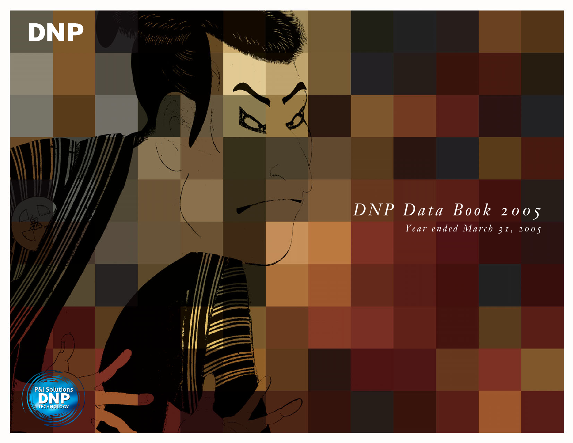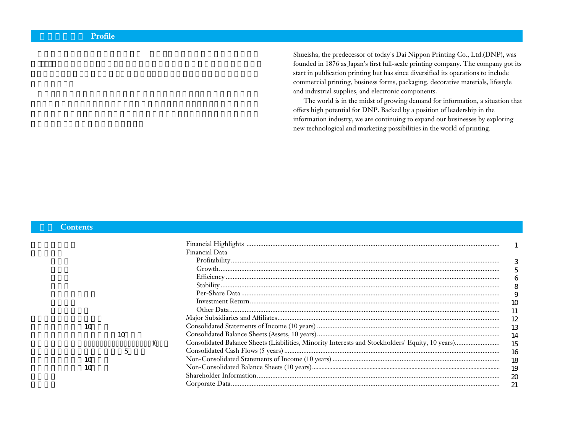Shueisha, the predecessor of today's Dai Nippon Printing Co., Ltd.(DNP), was founded in 1876 as Japan's first full-scale printing company. The company got its start in publication printing but has since diversified its operations to include commercial printing, business forms, packaging, decorative materials, lifestyle and industrial supplies, and electronic components.

The world is in the midst of growing demand for information, a situation that offers high potential for DNP. Backed by a position of leadership in the information industry, we are continuing to expand our businesses by exploring new technological and marketing possibilities in the world of printing.

#### **Contents**

|    |    |    | Financial Data |    |
|----|----|----|----------------|----|
|    |    |    |                |    |
|    |    |    |                |    |
|    |    |    |                |    |
|    |    |    |                | 8  |
|    |    |    |                | 9  |
|    |    |    |                |    |
|    |    |    |                |    |
|    |    |    |                |    |
| 10 |    |    |                |    |
|    | 10 |    |                | 14 |
|    |    | 10 |                |    |
|    | 5  |    |                | 16 |
| 10 |    |    |                |    |
| 10 |    |    |                | 19 |
|    |    |    |                |    |
|    |    |    |                |    |
|    |    |    |                |    |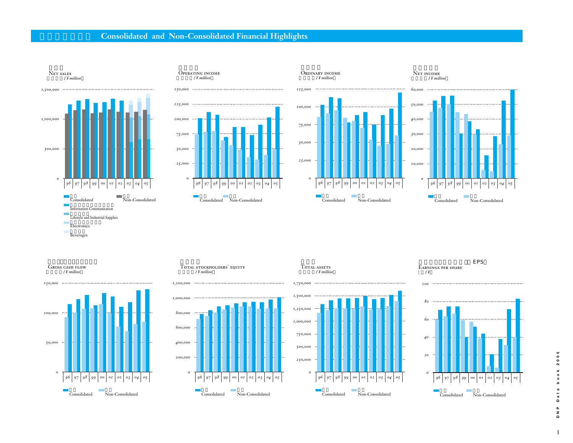## **Consolidated and Non-Consolidated Financial Highlights**







.<br>Ordinary income



Net income



.<br>Total stockholders' equity (百万円/*¥ million*





EPS Earnings per share

(円/*¥*

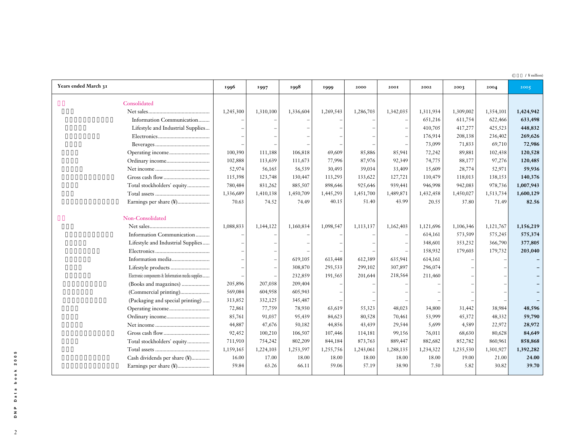(  $\angle$  ¥ million)

| Years ended March 31                               | 1996      | 1997      | 1998      | 1999      | 2000      | 200I      | 2002      | 2003      | 2004      | 2005      |
|----------------------------------------------------|-----------|-----------|-----------|-----------|-----------|-----------|-----------|-----------|-----------|-----------|
| Consolidated                                       |           |           |           |           |           |           |           |           |           |           |
|                                                    | 1,245,300 | 1,310,100 | 1,336,604 | 1,269,543 | 1,286,703 | 1,342,035 | 1,311,934 | 1,309,002 | 1,354,101 | 1,424,942 |
| Information Communication                          |           |           |           |           |           |           | 651,216   | 611,754   | 622,466   | 633,498   |
| Lifestyle and Industrial Supplies                  |           |           |           |           |           |           | 410,705   | 417,277   | 425,523   | 448,832   |
|                                                    |           |           |           |           |           |           | 176,914   | 208,138   | 236,402   | 269,626   |
|                                                    |           |           |           |           |           |           | 73,099    | 71,833    | 69,710    | 72,986    |
|                                                    | 100,390   | 111,188   | 106,818   | 69,609    | 85,886    | 85,941    | 72,242    | 89,881    | 102,438   | 120,528   |
|                                                    | 102,888   | 113,639   | 111,673   | 77,996    | 87,976    | 92,349    | 74,775    | 88,177    | 97,276    | 120,485   |
|                                                    | 52,974    | 56,165    | 56,539    | 30,493    | 39,034    | 33,409    | 15,609    | 28,774    | 52,971    | 59,936    |
|                                                    | 115,398   | 123,748   | 130,447   | 113,293   | 133,622   | 127,721   | 110,479   | 118,013   | 138,153   | 140,376   |
| Total stockholders' equity                         | 780,484   | 831,262   | 885,507   | 898,646   | 925,646   | 939,441   | 946,998   | 942,083   | 978,736   | 1,007,943 |
|                                                    | 1,336,689 | 1,410,138 | 1,450,709 | 1,445,293 | 1,451,700 | 1,489,871 | 1,432,458 | 1,450,027 | 1,513,734 | 1,600,129 |
| Earnings per share (¥)                             | 70.63     | 74.52     | 74.49     | 40.15     | 51.40     | 43.99     | 20.55     | 37.80     | 71.49     | 82.56     |
|                                                    |           |           |           |           |           |           |           |           |           |           |
| Non-Consolidated                                   |           |           |           |           |           |           |           |           |           |           |
|                                                    | 1,088,833 | 1,144,122 | 1,160,834 | 1,098,547 | 1,113,137 | 1,162,403 | 1,121,696 | 1,106,346 | 1,121,767 | 1,156,219 |
| Information Communication                          |           |           |           |           |           |           | 614,161   | 573,509   | 575,245   | 575,374   |
| Lifestyle and Industrial Supplies                  |           |           |           |           |           |           | 348,601   | 353,232   | 366,790   | 377,805   |
|                                                    |           |           |           |           |           |           | 158,932   | 179,603   | 179,732   | 203,040   |
|                                                    |           |           | 619,105   | 613,448   | 612,389   | 635,941   | 614,161   |           |           |           |
| Lifestyle products                                 |           |           | 308,870   | 293,533   | 299,102   | 307,897   | 296,074   |           |           |           |
| Electronic components & Information media supplies |           |           | 232,859   | 191,565   | 201,644   | 218,564   | 211,460   |           |           |           |
| (Books and magazines)                              | 205,896   | 207,038   | 209,404   |           |           |           |           |           |           |           |
| (Commercial printing)                              | 569,084   | 604,958   | 605,943   |           |           |           |           |           |           |           |
| (Packaging and special printing)                   | 313,852   | 332,125   | 345,487   |           |           |           |           |           |           |           |
|                                                    | 72,861    | 77,759    | 78,930    | 63,619    | 55,323    | 48,023    | 34,800    | 31,442    | 38,984    | 48,596    |
|                                                    | 85,761    | 91,037    | 95,439    | 84,623    | 80,528    | 70,461    | 53,999    | 45,372    | 48,332    | 59,790    |
|                                                    | 44,887    | 47,676    | 50,182    | 44,856    | 43,439    | 29,544    | 5,699     | 4,589     | 22,972    | 28,972    |
|                                                    | 92,452    | 100,210   | 106,507   | 107,446   | 114,181   | 99,156    | 76,011    | 68,630    | 80,628    | 84,649    |
| Total stockholders' equity                         | 711,910   | 754,242   | 802,209   | 844,184   | 873,763   | 889,447   | 882,682   | 852,782   | 860,961   | 858,868   |
|                                                    | 1,159,165 | 1,224,103 | 1,253,597 | 1,255,756 | 1,243,061 | 1,288,135 | 1,234,322 | 1,235,530 | 1,301,927 | 1,392,282 |
| Cash dividends per share (¥)                       | 16.00     | 17.00     | 18.00     | 18.00     | 18.00     | 18.00     | 18.00     | 19.00     | 21.00     | 24.00     |
| Earnings per share (¥)                             | 59.84     | 63.26     | 66.11     | 59.06     | 57.19     | 38.90     | 7.50      | 5.82      | 30.82     | 39.70     |
|                                                    |           |           |           |           |           |           |           |           |           |           |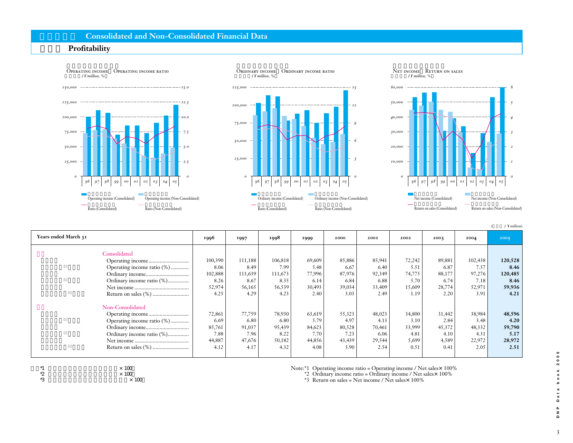### **Consolidated and Non-Consolidated Financial Data**

### **Profitability**





|                            |         |         |         |        |        |        |        |        |         | $/$ ¥ million) |
|----------------------------|---------|---------|---------|--------|--------|--------|--------|--------|---------|----------------|
| Years ended March 31       | 1996    | 1997    | 1998    | 1999   | 2000   | 2001   | 2002   | 2003   | 2004    | 2005           |
| Consolidated               |         |         |         |        |        |        |        |        |         |                |
|                            | 100,390 | 111,188 | 106,818 | 69,609 | 85,886 | 85,941 | 72,242 | 89,881 | 102,438 | 120,528        |
| Operating income ratio (%) | 8.06    | 8.49    | 7.99    | 5.48   | 6.67   | 6.40   | 5.51   | 6.87   | 7.57    | 8.46           |
|                            | 102,888 | 113,639 | 111,673 | 77,996 | 87,976 | 92,349 | 74,775 | 88,177 | 97,276  | 120,485        |
| Ordinary income ratio (%)  | 8.26    | 8.67    | 8.35    | 6.14   | 6.84   | 6.88   | 5.70   | 6.74   | 7.18    | 8.46           |
|                            | 52,974  | 56,165  | 56,539  | 30,493 | 39,034 | 33,409 | 15,609 | 28,774 | 52,971  | 59,936         |
|                            | 4.25    | 4.29    | 4.23    | 2.40   | 3.03   | 2.49   | 1.19   | 2.20   | 3.91    | 4.21           |
| Non-Consolidated           |         |         |         |        |        |        |        |        |         |                |
|                            | 72,861  | 77,759  | 78,930  | 63,619 | 55,323 | 48,023 | 34,800 | 31,442 | 38,984  | 48,596         |
| Operating income ratio (%) | 6.69    | 6.80    | 6.80    | 5.79   | 4.97   | 4.13   | 3.10   | 2.84   | 3.48    | 4.20           |
|                            | 85,761  | 91,037  | 95,439  | 84,623 | 80,528 | 70,461 | 53,999 | 45,372 | 48,332  | 59,790         |
| Ordinary income ratio (%)  | 7.88    | 7.96    | 8.22    | 7.70   | 7.23   | 6.06   | 4.81   | 4.10   | 4.31    | 5.17           |
|                            | 44,887  | 47,676  | 50,182  | 44,856 | 43,439 | 29,544 | 5,699  | 4,589  | 22,972  | 28,972         |
|                            | 4.12    | 4.17    | 4.32    | 4.08   | 3.90   | 2.54   | 0.51   | 0.41   | 2.05    | 2.51           |



 $*2$   $\times 100$   $\times$  $\times$  100 Note:\*1 Operating income ratio = Operating income / Net sales×100%

\*2 Ordinary income ratio = Ordinary income / Net sales $\times$  100%

\*3 Return on sales = Net income / Net sales $\times$  100%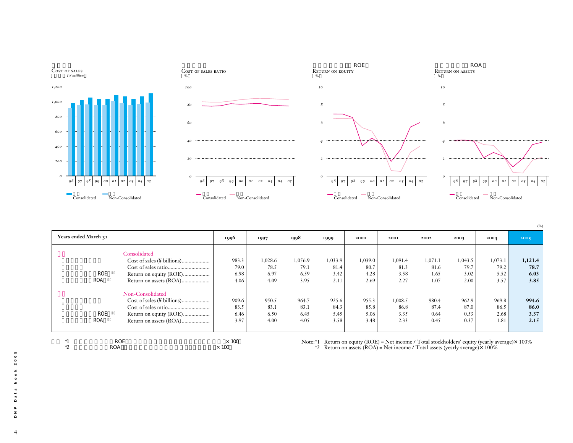

| Years ended March 31 |                        | 1996  | 1997    | 1998    | 1999    | 2000    | 2001    | 2002    | 2003    | 2004    | 2005    |
|----------------------|------------------------|-------|---------|---------|---------|---------|---------|---------|---------|---------|---------|
|                      | Consolidated           |       |         |         |         |         |         |         |         |         |         |
|                      |                        | 983.3 | 1,028.6 | 1,056.9 | 1,033.9 | 1,039.0 | 1,091.4 | 1,071.1 | 1,043.5 | 1,073.1 | 1,121.4 |
|                      |                        | 79.0  | 78.5    | 79.1    | 81.4    | 80.7    | 81.3    | 81.6    | 79.7    | 79.2    | 78.7    |
| ROE                  | Return on equity (ROE) | 6.98  | 6.97    | 6.59    | 3.42    | 4.28    | 3.58    | 1.65    | 3.02    | 5.52    | 6.03    |
| <b>ROA</b>           |                        | 4.06  | 4.09    | 3.95    | 2.11    | 2.69    | 2.27    | 1.07    | 2.00    | 3.57    | 3.85    |
|                      |                        |       |         |         |         |         |         |         |         |         |         |
|                      | Non-Consolidated       |       |         |         |         |         |         |         |         |         |         |
|                      |                        | 909.6 | 950.5   | 964.7   | 925.6   | 955.3   | 1,008.5 | 980.4   | 962.9   | 969.8   | 994.6   |
|                      |                        | 83.5  | 83.1    | 83.1    | 84.3    | 85.8    | 86.8    | 87.4    | 87.0    | 86.5    | 86.0    |
| ROE                  | Return on equity (ROE) | 6.46  | 6.50    | 6.45    | 5.45    | 5.06    | 3.35    | 0.64    | 0.53    | 2.68    | 3.37    |
| <b>ROA</b>           |                        | 3.97  | 4.00    | 4.05    | 3.58    | 3.48    | 2.33    | 0.45    | 0.37    | 1.81    | 2.15    |
|                      |                        |       |         |         |         |         |         |         |         |         |         |



 $*1$   $ROE$   $\times 100$  $\angle$  \*2 ROA  $\times$  100

Note: $*1$  Return on equity (ROE) = Net income / Total stockholders' equity (yearly average) $\times$  100% \*2 Return on assets  $(ROA)$  = Net income / Total assets (yearly average) $\times$  100%

 $\overline{4}$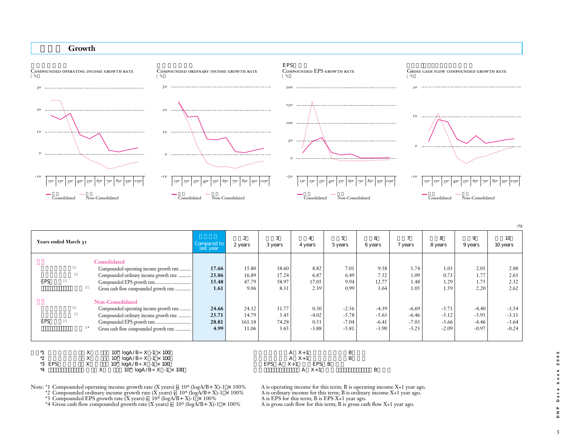#### Growth



15.80 16.89 47.79 9.06 24.32 14.79 161.18 11.06 18.60 17.24 58.97 8.31 11.77 3.45 74.28 3.65 8.82 6.87 17.05 2.39 0.30 -4.02 0.51 -3.88 7.01 6.49 9.94 0.99 -2.56 -5.78 -7.04 -5.81 9.58 7.52 12.77 3.64 -4.39 -5.63 -6.41 -3.90 1.74 1.09 1.48 1.05 -6.69 -6.46 -7.03 -3.23 1.01 0.73 1.29 1.59 -5.71 -5.12 -5.66 -2.09 2.05 1.77 1.75 2.20 -4.40 -3.93 -4.46 -0.97 2.88 2.63 2.32 2.62 -3.54 -3.11 -3.64 -0.24 **Years ended March 31** 過去10年 (%) \*1  $\text{X}$  10^ logA/B÷X -1 × 100 <br>
\*2  $\text{X}$  10^ logA/B÷X -1 × 100  $\text{A}$  X+1  $\text{B}$  $3 \mid 4 \mid 5 \mid 6 \mid 7 \mid 8 \mid 9$ 2 years EPS EPS グロス・キャッシュフロー成長率 \*4 Consolidated Compounded operating income growth rate ... Compounded ordinary income growth rate .... Compounded EPS growth rate... Gross cash flow compounded growth rate Non-Consolidated Compounded operating income growth rate... Compounded ordinary income growth rate ...... Compounded EPS growth rate.... Gross cash flow compounded growth rate Compared to 2 years 3 years 4 years 5 years 6 years 7 years 8 years 9 years 10 years 10 years 2<br>Compared to 2 year<br>last year **17.66 23.86 15.48 1.61 24.66 23.71 28.81 4.99**

| $\tilde{\phantom{a}}$ | $10^{\circ}$ logA/B ÷ X -1 × 100 |                            |  |
|-----------------------|----------------------------------|----------------------------|--|
| *3 EPS                | $10^{\circ}$ logA/B ÷ X -1 × 100 | EPS $A \quad X+1$<br>EPS B |  |
|                       | $10^{\circ}$ logA/B ÷ X -1 × 100 | X+                         |  |

Note: \*1 Compounded operating income growth rate (X years) = 10^ (logA/B÷X)-1 × 100% A is operating income for this term; B is operating income X+1 year ago.<br>\*2 Compounded ordinary income growth rate (X years) = 10^ (logA

\*2 Compounded ordinary income growth rate (X years) =  $10^{\circ}$  (logA/B÷X)-1 × 100% A is ordinary income for this term; B is ordinary income X+1 year ago.

\*3 Compounded EPS growth rate (X years) =  $10^{\circ}$  (logA/B÷X)-1 × 100% A is EPS for this term; B is EPS X+1 year ago.

\*4 Gross cash flow compounded growth rate (X years) =  $10^{\circ}$  (logA/B÷X)-1 × 100% A is gross cash flow for this term; B is gross cash flow X+1 year ago.

5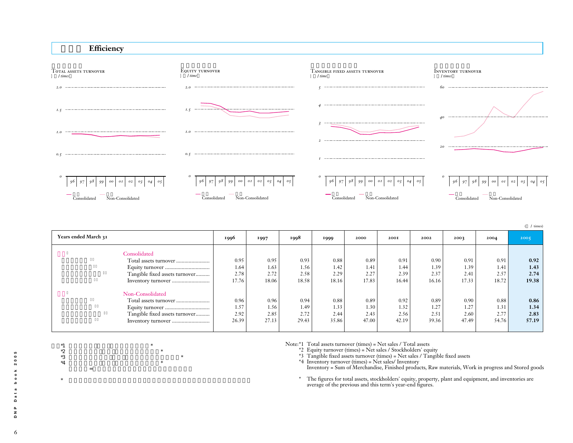

 $*1$  $*2$   $*$  $*3$  and  $*3$  and  $*1$  and  $*1$  and  $*1$  and  $*1$  and  $*1$  and  $*1$  and  $*1$  and  $*1$  and  $*1$  and  $*1$  and  $*1$  and  $*1$  and  $*1$  and  $*1$  and  $*1$  and  $*1$  and  $*1$  and  $*1$  and  $*1$  and  $*1$  and  $*1$  and  $*1$  and  $*1$   $*4$   $*4$ 

注)\*4 棚卸資産=商品、製品、原材料、仕掛品、貯蔵品の合計

 $*$ 



|                                |       |       |       |       |       |       |       |       |       | $/$ times) |
|--------------------------------|-------|-------|-------|-------|-------|-------|-------|-------|-------|------------|
| Years ended March 31           | 1996  | 1997  | 1998  | 1999  | 2000  | 200I  | 2002  | 2003  | 2004  | 2005       |
| Consolidated                   |       |       |       |       |       |       |       |       |       |            |
| Total assets turnover          | 0.95  | 0.95  | 0.93  | 0.88  | 0.89  | 0.91  | 0.90  | 0.91  | 0.91  | 0.92       |
|                                | 1.64  | 1.63  | 1.56  | 1.42  | 1.41  | 1.44  | 1.39  | 1.39  | 1.41  | 1.43       |
| Tangible fixed assets turnover | 2.78  | 2.72  | 2.58  | 2.29  | 2.27  | 2.39  | 2.37  | 2.41  | 2.57  | 2.74       |
|                                | 17.76 | 18.06 | 18.58 | 18.16 | 17.83 | 16.44 | 16.16 | 17.33 | 18.72 | 19.38      |
| Non-Consolidated               |       |       |       |       |       |       |       |       |       |            |
|                                | 0.96  | 0.96  | 0.94  | 0.88  | 0.89  | 0.92  | 0.89  | 0.90  | 0.88  | 0.86       |
|                                | 1.57  | 1.56  | 1.49  | 1.33  | 1.30  | 1.32  | 1.27  | 1.27  | 1.31  | 1.34       |
| Tangible fixed assets turnover | 2.92  | 2.85  | 2.72  | 2.44  | 2.43  | 2.56  | 2.51  | 2.60  | 2.77  | 2.83       |
|                                | 26.39 | 27.13 | 29.43 | 35.86 | 47.00 | 42.19 | 39.36 | 47.49 | 54.76 | 57.19      |
|                                |       |       |       |       |       |       |       |       |       |            |

Note:\*1 Total assets turnover (times) = Net sales / Total assets

\*2 Equity turnover (times) = Net sales / Stockholders' equity

\*3 Tangible fixed assets turnover (times) = Net sales / Tangible fixed assets

\*4 Inventory turnover (times) = Net sales/ Inventory Inventory = Sum of Merchandise, Finished products, Raw materials, Work in progress and Stored goods

\* The figures for total assets, stockholders' equity, property, plant and equipment, and inventories are average of the previous and this term's year-end figures.

6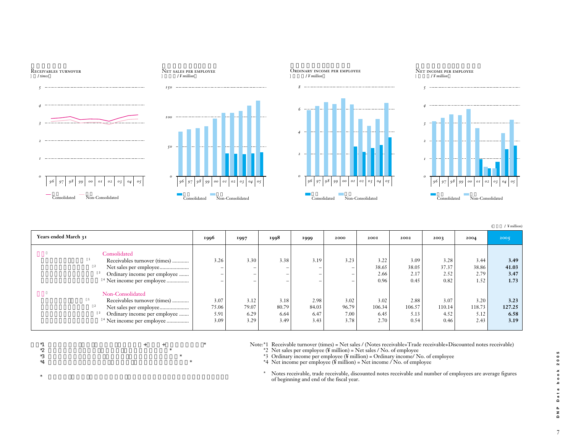

| Years ended March 31                 | 1996  | 1997  | 1998  | 1999  | 2000  | <b>200I</b> | 2002   | 2003   | 2004   | 2005   |
|--------------------------------------|-------|-------|-------|-------|-------|-------------|--------|--------|--------|--------|
| Consolidated                         |       |       |       |       |       |             |        |        |        |        |
| Receivables turnover (times)         | 3.26  | 3.30  | 3.38  | 3.19  | 3.23  | 3.22        | 3.09   | 3.28   | 3.44   | 3.49   |
| Net sales per employee               | -     | -     | -     | -     | -     | 38.65       | 38.05  | 37.37  | 38.86  | 41.03  |
| Ordinary income per employee         | -     | -     | -     | -     | -     | 2.66        | 2.17   | 2.52   | 2.79   | 3.47   |
| <sup>4</sup> Net income per employee | -     |       |       |       | -     | 0.96        | 0.45   | 0.82   | 1.52   | 1.73   |
| Non-Consolidated                     |       |       |       |       |       |             |        |        |        |        |
| Receivables turnover (times)         | 3.07  | 3.12  | 3.18  | 2.98  | 3.02  | 3.02        | 2.88   | 3.07   | 3.20   | 3.23   |
|                                      | 75.06 | 79.07 | 80.79 | 84.03 | 96.79 | 106.34      | 106.57 | 110.14 | 118.73 | 127.25 |
| Ordinary income per employee         | 5.91  | 6.29  | 6.64  | 6.47  | 7.00  | 6.45        | 5.13   | 4.52   | 5.12   | 6.58   |
| <sup>4</sup> Net income per employee | 3.09  | 3.29  | 3.49  | 3.43  | 3.78  | 2.70        | 0.54   | 0.46   | 2.43   | 3.19   |
|                                      |       |       |       |       |       |             |        |        |        |        |

 $*$ 1  $*$ 

 $*$ 

 $*2$   $*2$  $^*3$   $^*$ 

 $*4$ 

Note:\*1 Receivable turnover (times) = Net sales / (Notes receivable+Trade receivable+Discounted notes receivable)

\*2 Net sales per employee ( $\frac{4}{3}$  million) = Net sales / No. of employee

\*3 Ordinary income per employee ( $\frac{1}{2}$  million) = Ordinary income/ No. of employee

\*4 Net income per employee (¥ million) = Net income / No. of employee

\* Notes receivable, trade receivable, discounted notes receivable and number of employees are average figures of beginning and end of the fiscal year.

 $($  /  $\frac{1}{4}$  million)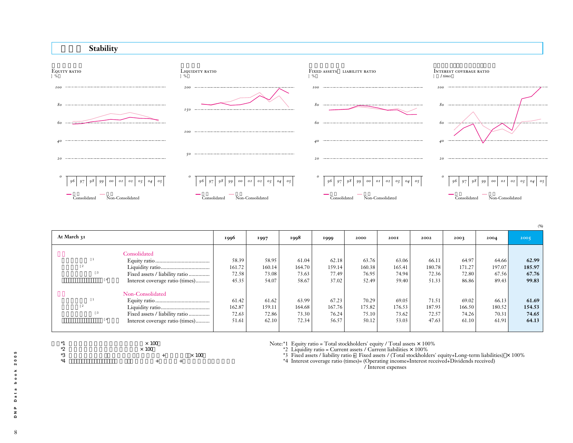

| At March 31                                                                           | 1996                              | 1997                              | 1998                              | 1999                              | 2000                              | <b>200I</b>                       | 2002                              | 2003                              | 2004                              | 2005                              |
|---------------------------------------------------------------------------------------|-----------------------------------|-----------------------------------|-----------------------------------|-----------------------------------|-----------------------------------|-----------------------------------|-----------------------------------|-----------------------------------|-----------------------------------|-----------------------------------|
| Consolidated                                                                          | 58.39<br>161.72                   | 58.95<br>160.14                   | 61.04<br>164.70                   | 62.18<br>159.14                   | 63.76<br>160.38                   | 63.06<br>165.41                   | 66.11<br>180.78                   | 64.97<br>171.27                   | 64.66<br>197.07                   | 62.99<br>185.97                   |
| Interest coverage ratio (times)                                                       | 72.58<br>45.35                    | 73.08<br>54.07                    | 73.63<br>58.67                    | 77.49<br>37.02                    | 76.95<br>52.49                    | 74.94<br>59.40                    | 72.36<br>51.33                    | 72.80<br>86.86                    | 67.56<br>89.43                    | 67.76<br>99.83                    |
| Non-Consolidated<br>Fixed assets / liability ratio<br>Interest coverage ratio (times) | 61.42<br>162.87<br>72.63<br>51.61 | 61.62<br>159.11<br>72.86<br>62.10 | 63.99<br>164.68<br>73.30<br>72.34 | 67.23<br>167.76<br>76.24<br>56.57 | 70.29<br>175.82<br>75.10<br>50.12 | 69.05<br>176.53<br>73.62<br>53.03 | 71.51<br>187.93<br>72.57<br>47.63 | 69.02<br>166.50<br>74.26<br>61.10 | 66.13<br>180.52<br>70.31<br>61.91 | 61.69<br>154.53<br>74.65<br>64.13 |
|                                                                                       |                                   |                                   |                                   |                                   |                                   |                                   |                                   |                                   |                                   |                                   |

- 
- \*1  $*_{2}$ <br>\*2  $*_{100}$   $*_{100}$ <br>\*3  $*_{4}$  $\times$  100  $*3$  +  $\times100$  $*4$  + +

Note:\*1 Equity ratio = Total stockholders' equity / Total assets ×100%

 $*2$  Liquidity ratio = Current assets / Current liabilities  $\times$  100%

\*3 Fixed assets / liability ratio = Fixed assets / (Total stockholders' equity+Long-term liabilities)  $\times$  100%

\*4 Interest coverage ratio (times)= (Operating income+Interest received+Dividends received)

/ Interest expenses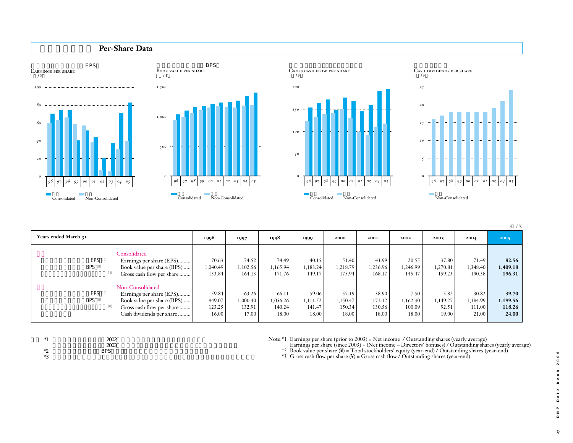

(  $/$  ¥)

| Years ended March 31     |                                                                                                                                     | 1996                               | 1997                                 | 1998                                 | 1999                                 | 2000                                 | 2001                                 | 2002                                | 2003                               | 2004                                 | 2005                                 |
|--------------------------|-------------------------------------------------------------------------------------------------------------------------------------|------------------------------------|--------------------------------------|--------------------------------------|--------------------------------------|--------------------------------------|--------------------------------------|-------------------------------------|------------------------------------|--------------------------------------|--------------------------------------|
| <b>EPS</b><br><b>BPS</b> | Consolidated<br>Earnings per share (EPS)<br>Book value per share (BPS)<br>Gross cash flow per share                                 | 70.63<br>40.49 0.49<br>153.84      | 74.52<br>1,102.56<br>164.13          | 74.49<br>1,165.94<br>171.76          | 40.15<br>1,183.24<br>149.17          | 51.40<br>1,218.79<br>175.94          | 43.99<br>1,236.96<br>168.17          | 20.55<br>1,246.99<br>145.47         | 37.80<br>1,270.81<br>159.23        | 71.49<br>1,348.40<br>190.38          | 82.56<br>1,409.18<br>196.31          |
| <b>EPS</b><br><b>BPS</b> | Non-Consolidated<br>Earnings per share (EPS)<br>Book value per share (BPS)<br>Gross cash flow per share<br>Cash dividends per share | 59.84<br>949.07<br>123.25<br>16.00 | 63.26<br>1,000.40<br>132.91<br>17.00 | 66.11<br>1,056.26<br>140.24<br>18.00 | 59.06<br>1,111.52<br>141.47<br>18.00 | 57.19<br>1,150.47<br>150.34<br>18.00 | 38.90<br>1,171.12<br>130.56<br>18.00 | 7.50<br>1,162.30<br>100.09<br>18.00 | 5.82<br>1,149.27<br>92.51<br>19.00 | 30.82<br>1,184.99<br>111.00<br>21.00 | 39.70<br>1,199.56<br>118.26<br>24.00 |

| $*1$<br>-                   | 2002       |  |  |
|-----------------------------|------------|--|--|
|                             | 2003       |  |  |
| ∗つ<br>$\tilde{\phantom{a}}$ | <b>BPS</b> |  |  |
| *Q<br>ت                     |            |  |  |

Note:\*1 Earnings per share (prior to 2003) = Net income / Outstanding shares (yearly average)

Earnings per share (since 2003) = (Net income – Directors' bonuses) / Outstanding shares (yearly average) \*2 Book value per share (¥) = Total stockholders' equity (year-end) / Outstanding shares (year-end)

\*3 Gross cash flow per share (¥) = Gross cash flow / Outstanding shares (year-end)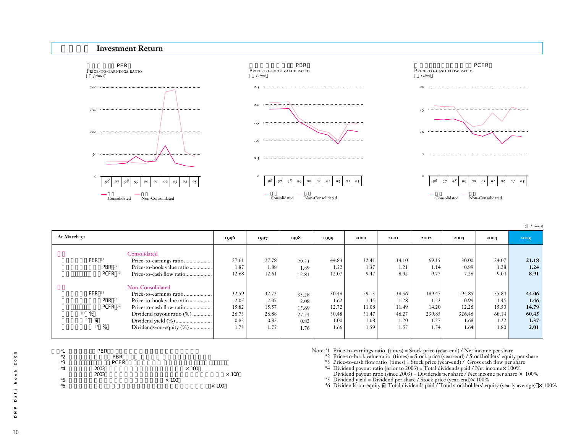#### **Investment Return**



 $($  / times)

| At March 31                                                                              |                                                                                                                                                                                    | 1996                                            | 1997                                            | 1998                                            | 1999                                            | 2000                                            | <b>200I</b>                                     | 2002                                              | 2003                                              | 2004                                            | 2005                                            |
|------------------------------------------------------------------------------------------|------------------------------------------------------------------------------------------------------------------------------------------------------------------------------------|-------------------------------------------------|-------------------------------------------------|-------------------------------------------------|-------------------------------------------------|-------------------------------------------------|-------------------------------------------------|---------------------------------------------------|---------------------------------------------------|-------------------------------------------------|-------------------------------------------------|
| PER<br>PBR <sup>2</sup><br>PCFR                                                          | Consolidated<br>Price-to-earnings ratio<br>Price-to-book value ratio<br>Price-to-cash flow ratio                                                                                   | 27.61<br>1.87<br>12.68                          | 27.78<br>1.88<br>12.61                          | 29.53<br>1.89<br>12.81                          | 44.83<br>1.52<br>12.07                          | 32.41<br>1.37<br>9.47                           | 34.10<br>1.21<br>8.92                           | 69.15<br>1.14<br>9.77                             | 30.00<br>0.89<br>7.26                             | 24.07<br>1.28<br>9.04                           | 21.18<br>1.24<br>8.91                           |
| PER<br>PBR <sup>2</sup><br>PCFR <sup>3</sup><br>$4\frac{9}{6}$<br>$\%$<br>$6\frac{6}{6}$ | Non-Consolidated<br>Price-to-earnings ratio<br>Price-to-book value ratio<br>Price-to-cash flow ratio<br>Dividend payout ratio (%)<br>Dividend yield (%)<br>Dividends-on-equity (%) | 32.59<br>2.05<br>15.82<br>26.73<br>0.82<br>1.73 | 32.72<br>2.07<br>15.57<br>26.88<br>0.82<br>1.75 | 33.28<br>2.08<br>15.69<br>27.24<br>0.82<br>1.76 | 30.48<br>1.62<br>12.72<br>30.48<br>1.00<br>1.66 | 29.13<br>1.45<br>11.08<br>31.47<br>1.08<br>1.59 | 38.56<br>1.28<br>11.49<br>46.27<br>1.20<br>1.55 | 189.47<br>1.22<br>14.20<br>239.85<br>1.27<br>1.54 | 194.85<br>0.99<br>12.26<br>326.46<br>1.68<br>1.64 | 55.84<br>1.45<br>15.50<br>68.14<br>1.22<br>1.80 | 44.06<br>1.46<br>14.79<br>60.45<br>1.37<br>2.01 |



Note:\*1 Price-to-earnings ratio (times) = Stock price (year-end) / Net income per share

\*2 Price-to-book value ratio (times) = Stock price (year-end) / Stockholders' equity per share

\*3 Price-to-cash flow ratio (times) = Stock price (year-end) / Gross cash flow per share<br>\*4 Dividend payout ratio (prior to 2003) = Total dividends paid / Net income× 100%

Dividend payour ratio (since 2003) = Dividends per share / Net income per share  $\times$  100% \*5 Dividend yield = Dividend per share / Stock price (year-end) $\times$  100%

 $*6$  Dividends-on-equity = Total dividends paid / Total stockholders' equity (yearly average)  $\times$  100%

 $10\,$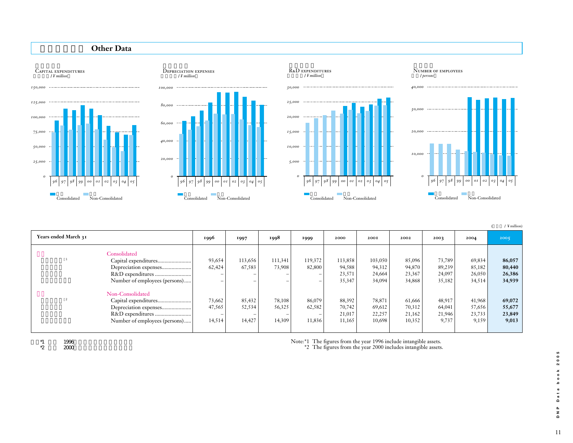

| Years ended March 31 |                                                                                                    | 1996                       | 1997                       | 1998                       | 1999                               | 2000                                 | 2001                                 | 2002                                 | 2003                                | 2004                                | 2005                                |
|----------------------|----------------------------------------------------------------------------------------------------|----------------------------|----------------------------|----------------------------|------------------------------------|--------------------------------------|--------------------------------------|--------------------------------------|-------------------------------------|-------------------------------------|-------------------------------------|
|                      | Consolidated                                                                                       | 93,654                     | 113,656                    | 111,341                    | 119,372                            | 113,858                              | 103,050                              | 85,096                               | 73,789                              | 69,834                              | 86,057                              |
|                      | Depreciation expenses<br>Number of employees (persons)                                             | 62,424<br>-                | 67,583<br>-<br>-           | 73,908<br>$\qquad \qquad$  | 82,800<br>$\overline{\phantom{0}}$ | 94,588<br>23,571<br>35,347           | 94,312<br>24,664<br>34,094           | 94,870<br>23,367<br>34,868           | 89,239<br>24,097<br>35,182          | 85,182<br>26,050<br>34,514          | 80,440<br>26,386<br>34,939          |
|                      | Non-Consolidated<br>Capital expenditures<br>Depreciation expenses<br>Number of employees (persons) | 73,662<br>47,565<br>14,514 | 85,432<br>52,534<br>14,427 | 78,108<br>56,325<br>14,309 | 86,079<br>62,582<br>11,836         | 88,392<br>70,742<br>21,017<br>11,165 | 78,871<br>69,612<br>22,257<br>10,698 | 61,666<br>70,312<br>21,162<br>10,352 | 48,917<br>64,041<br>21,946<br>9,737 | 41,968<br>57,656<br>23,733<br>9,159 | 69,072<br>55,677<br>23,849<br>9,013 |

 $*1$   $*2$   $*2000$  $2000$  Note:\*1 The figures from the year 1996 include intangible assets.

\*2 The figures from the year 2000 includes intangible assets.

Data book 2005 11**DNP Data book 2005**  $\begin{array}{c} \mathsf{p} \\ \mathsf{p} \\ \mathsf{q} \end{array}$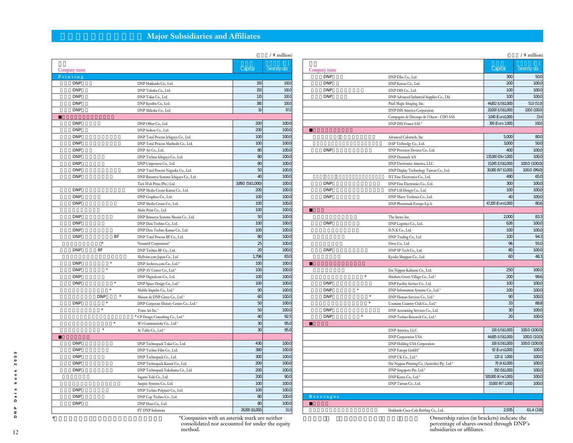# **Major Subsidiaries and Affiliates**

|              |                      |                                         | $\left($         | $\land$ million) |
|--------------|----------------------|-----------------------------------------|------------------|------------------|
| Company name |                      |                                         | Capital          | Ownership ratio  |
| Printing     |                      |                                         |                  |                  |
| <b>DNP</b>   |                      | DNP Hokkaido Co., Ltd.                  | 350              | 1000             |
| <b>DNP</b>   |                      | DNP Tohoku Co., Ltd.                    | 350              | 1000             |
| <b>DNP</b>   |                      | DNP Tokai Co., Ltd.                     | 120              | 1000             |
| <b>DNP</b>   |                      | DNP Kyushu Co., Ltd.                    | 380              | 1000             |
| <b>DNP</b>   |                      | DNP Shikoku Co., Ltd.                   | 50               | 97.0             |
|              |                      |                                         |                  |                  |
| <b>DNP</b>   |                      | DNP Offset Co., Ltd.                    | 200              | 1000             |
| <b>DNP</b>   |                      | DNP Seihon Co., Ltd.                    | 200              | 1000             |
| <b>DNP</b>   |                      | DNP Total Process Ichigaya Co., Ltd.    | 100              | 1000             |
| <b>DNP</b>   |                      | DNP Total Process Maebashi Co., Ltd.    | 100              | 1000             |
| <b>DNP</b>   |                      | DNP Art Co., Ltd.                       | 80               | 1000             |
| <b>DNP</b>   |                      | DNP Techtas Ichigaya Co., Ltd.          | 80               | 1000             |
| <b>DNP</b>   |                      | DNP Uniprocess Co., Ltd.                | 80               | 1000             |
| <b>DNP</b>   |                      | DNP Total Process Nagaoka Co., Ltd.     | 50               | 1000             |
| <b>DNP</b>   |                      | DNP Butsuryu Systems Ichigaya Co., Ltd. | 40               | 1000             |
|              |                      | Tien Wah Press (Pte.) Ltd.              | 3,892 (SS1,000)  | 1000             |
| <b>DNP</b>   |                      |                                         | 200              | 1000             |
| <b>DNP</b>   |                      | DNP Media Create Kansai Co., Ltd.       | 100              | 1000             |
|              |                      | DNP Graphica Co., Ltd.                  |                  |                  |
| <b>DNP</b>   |                      | DNP Media Create Co., Ltd.              | 100              | 1000             |
|              |                      | Multi Print Co., Ltd.                   | 100              | 1000             |
| <b>DNP</b>   |                      | DNP Butsuryu Systems Shouin Co., Ltd.   | 50               | 1000             |
| <b>DNP</b>   |                      | DNP Data Techno Co., Ltd.               | 100              | 1000             |
| <b>DNP</b>   |                      | DNP Data Techno Kansai Co., Ltd.        | 100              | 1000             |
| <b>DNP</b>   | BF                   | DNP Total Process BF Co., Ltd.          | 80               | 1000             |
|              | $\ast$               | NexantiS Corporation*                   | 25               | 1000             |
| <b>DNP</b>   | BF                   | DNP Techtas BF Co., Ltd.                | $\infty$         | 1000             |
|              |                      | MyPoint.com Japan Co., Ltd.             | 1,796            | 830              |
| <b>DNP</b>   | $\ast$               | DNP Archives.com Co., Ltd.*             | 100              | 1000             |
| <b>DNP</b>   | $\ast$               | DNP AV Center Co., Ltd.*                | 100              | 1000             |
| <b>DNP</b>   |                      | DNP Digitalcom Co., Ltd.                | 100              | 1000             |
| <b>DNP</b>   | $\ast$               | DNP Space Design Co., Ltd.*             | 100              | 1000             |
|              | $\ast$               | Mobile Impulse Co., Ltd.*               | 90               | 1000             |
|              | <b>DNP</b><br>$\ast$ | Maison de DNP Ginza Co., Ltd.*          | $\infty$         | 1000             |
| <b>DNP</b>   | $\ast$               | DNP Corporate History Center Co., Ltd.* | 50               | 1000             |
|              | ×                    | Trans Art Inc.*                         | 50               | 1000             |
|              |                      | * CP Design Consulting Co., Ltd.*       | 40               | 925              |
|              | $\ast$               | M's Communicate Co., Ltd.*              | 30               | 950              |
|              | ś                    | At Table Co., Ltd.*                     | 30               | 950              |
|              |                      |                                         |                  |                  |
| <b>DNP</b>   |                      | DNP Technopack Tokai Co., Ltd.          | 430              | 1000             |
| <b>DNP</b>   |                      | DNP Techno Film Co., Ltd.               | 380              | 1000             |
| <b>DNP</b>   |                      | DNP Technopack Co., Ltd.                | 300              | 1000             |
| <b>DNP</b>   |                      | DNP Technopack Kansai Co., Ltd.         | 200              | 1000             |
| <b>DNP</b>   |                      | DNP Technopack Yokohama Co., Ltd.       | 200              | 1000             |
|              |                      | Sagami Yoki Co., Ltd.                   | 200              | 900              |
|              |                      | Aseptic Systems Co., Ltd.               | 100              | 1000             |
| <b>DNP</b>   |                      | DNP Techno Polymer Co., Ltd.            | 100              | 1000             |
| <b>DNP</b>   |                      |                                         | 80               | 1000             |
| <b>DNP</b>   |                      | DNP Cup Techno Co., Ltd.                | 80               | 1000             |
|              |                      | DNP Hoso Co., Ltd.                      |                  |                  |
|              |                      | PT DNP Indonesia                        | 26,000 (\$1,000) | 51.0             |

|                      |                                                | $\overline{(\ }$    | $\wedge$ million) |
|----------------------|------------------------------------------------|---------------------|-------------------|
| Company name         |                                                | Capital             | Ownership ratio   |
| <b>DNP</b>           | DNP Ellio Co., Ltd.                            | 300                 | 500               |
| <b>DNP</b>           | DNP Kenzai Co., Ltd.                           | 200                 | 1000              |
| <b>DNP</b>           | DNP IMS Co., Ltd.                              | 100                 | 1000              |
| <b>DNP</b>           | DNP Advanced Industrial Supplies Co., Ltd.     | 100                 | 1000              |
|                      | Pixel Magic Imaging, Inc.                      | 44,852 (US\$1,000)  | 51.0 (51.0)       |
|                      | <b>DNP IMS America Corporation</b>             | 20,000 (US\$1,000)  | 1000 (1000)       |
|                      | Compagnie de Découpe de l'Ouest - CDO SAS      | 3040 (Euro1,000)    | 234               |
|                      | DNP IMS France SAS *                           | 300 (Euro 1,000)    | 1000              |
|                      |                                                |                     |                   |
|                      | Advanced Colortech, Inc                        | 5000                | 800               |
|                      | DAP Technolgy Co., Ltd.                        | 3000                | 500               |
| <b>DNP</b>           | DNP Precision Devices Co., Ltd.                | 400                 | 1000              |
|                      | DNP Denmark A/S                                | 135,000 (Dkr1,000)  | 1000              |
|                      | DNP Electronics America, LLC                   | 15,045 (US\$1,000)  | 1000(1000)        |
|                      | DNP Display Technology Taiwan Co., Ltd.        | 30,000 (NT \$1,000) | 1000 (99.0)       |
|                      | DT Fine Electronics Co., Ltd.                  | 490                 | 65.0              |
| <b>DNP</b>           | DNP Fine Electronics Co., Ltd.                 | 300                 | 1000              |
| <b>DNP</b>           | DNP LSI Design Co., Ltd.                       | 100                 | 1000              |
| <b>DNP</b>           | DNP Micro Technica Co., Ltd.                   | 40                  | 1000              |
|                      | DNP Photomask Europe S.p.A.                    | 47,200 (Euro1,000)  | 806               |
|                      |                                                |                     |                   |
|                      | The Inctec Inc.                                | 2000                | 833               |
| <b>DNP</b>           | DNP Logistics Co., Ltd.                        | 626                 | 1000              |
|                      | D.N.K Co., Ltd.                                | 100                 | 1000              |
|                      | DNP Trading Co., Ltd.                          | 100                 | 943               |
|                      | Direc Co., Ltd.                                | 96                  | 55.0              |
| <b>DNP</b>           | DNP SP Tech Co., Ltd.                          | 80                  | 1000              |
|                      | Kyoiku Shuppan Co., Ltd.                       | $\infty$            | 483               |
|                      |                                                |                     |                   |
|                      | Dai Nippon Kaihatsu Co., Ltd.                  | 250                 | 1000              |
| $\ast$               | Shiobara Green Village Co., Ltd.*              | 200                 | 99.6              |
| <b>DNP</b>           | DNP Facility Service Co., Ltd.                 | 100                 | 1000              |
| $\ast$<br><b>DNP</b> | DNP Information Systems Co., Ltd.*             | 100                 | 1000              |
| <b>DNP</b>           | ×<br>DNP Human Services Co., Ltd.*             | 90                  | 1000              |
|                      | $\ast$<br>Uzumine Country Club Co., Ltd.*      | 33                  | 888               |
| <b>DNP</b>           | DNP Accounting Services Co., Ltd.              | 30                  | 1000              |
| <b>DNP</b><br>$\ast$ | DNP Techno Research Co., Ltd.*                 | 20                  | 1000              |
|                      |                                                |                     |                   |
|                      | DNP America, LLC                               | 100 (US\$1,000)     | 1000(1000)        |
|                      | <b>DNP Corporation USA</b>                     | 44,685 (US\$1,000)  | 1000 (100)        |
|                      | DNP Holding USA Corporation                    | 100 (US\$1,000)     | 1000(1000)        |
|                      | DNP Europa GmbH*                               | 92 (Euro1,000)      | 1000              |
|                      | DNP UK Co., Ltd.*                              | 120 (£ 1,000)       | 1000              |
|                      | Dai Nippon Printing Co. (Australia) Pty. Ltd.* | 70 (A \$1,000)      | 1000              |
|                      | DNP Singapore Pte. Ltd.*                       | 350 (SS1,000)       | 1000              |
|                      | DNP Korea Co., Ltd.*                           | 500,000 (Krw1,000)  | 1000              |
|                      | DNP Taiwan Co., Ltd.                           | 10,000 (NT 1,000)   | 1000              |
|                      |                                                |                     |                   |
| Beverages            |                                                |                     |                   |
|                      |                                                |                     |                   |
|                      | Hokkaido Coca-Cola Bottling Co., Ltd.          | 2935                | 61.4 (38)         |
|                      |                                                |                     |                   |

Ownership ratios (in brackets) indicate the<br>percentage of shares owned through DNP's subsidiaries or affiliates.

\*は非連結対象外、持分法非適用関連会社である。 \*Companies with an asterisk mark are neither consolidated nor accounted for under the equity method.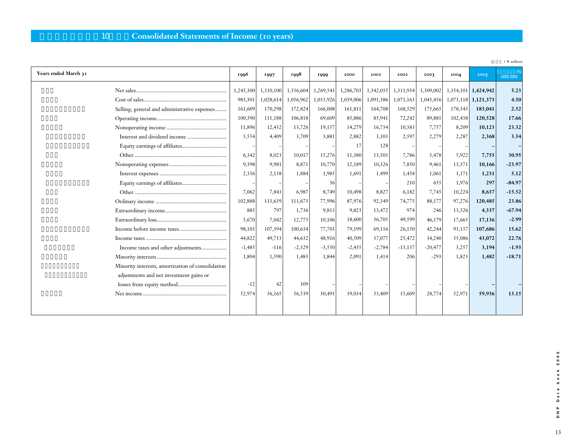## 10 Consolidated Statements of Income (10 years)

|                                                   |           |           |           |           |           |           |           |           |           |           | $\angle \setminus$ million |
|---------------------------------------------------|-----------|-----------|-----------|-----------|-----------|-----------|-----------|-----------|-----------|-----------|----------------------------|
| Years ended March 31                              | 1996      | 1997      | 1998      | 1999      | 2000      | 200I      | 2002      | 2003      | 2004      | 2005      | (2005/2004)                |
|                                                   | 1,245,300 | 1,310,100 | 1,336,604 | 1,269,543 | 1,286,703 | 1,342,035 | 1,311,934 | 1,309,002 | 1,354,101 | 1,424,942 | 5.23                       |
|                                                   | 983,301   | 1,028,614 | 1,056,962 | 1,033,926 | 1,039,006 | 1,091,386 | 1,071,163 | 1,043,456 | 1,073,118 | 1,121,373 | 4.50                       |
| Selling, general and administrative expenses      | 161,609   | 170,298   | 172,824   | 166,008   | 161,811   | 164,708   | 168,529   | 175,665   | 178,545   | 183,041   | 2.52                       |
|                                                   | 100,390   | 111,188   | 106,818   | 69,609    | 85,886    | 85,941    | 72,242    | 89,881    | 102,438   | 120,528   | 17.66                      |
|                                                   | 11,896    | 12,432    | 13,726    | 19,157    | 14,279    | 16,734    | 10,383    | 7,757     | 8,209     | 10,123    | 23.32                      |
|                                                   | 5,554     | 4,409     | 3,709     | 3,881     | 2,882     | 3,103     | 2,597     | 2,279     | 2,287     | 2,368     | 3.54                       |
|                                                   |           |           |           |           | 17        | 128       |           |           |           |           |                            |
|                                                   | 6,342     | 8.023     | 10,017    | 15,276    | 11,380    | 13,503    | 7,786     | 5,478     | 5,922     | 7,755     | 30.95                      |
|                                                   | 9.398     | 9.981     | 8,871     | 10,770    | 12,189    | 10,326    | 7,850     | 9.461     | 13,371    | 10,166    | $-23.97$                   |
|                                                   | 2,336     | 2,138     | 1.884     | 1.985     | 1.691     | 1.499     | 1,458     | 1.061     | 1.171     | 1,231     | 5.12                       |
|                                                   |           |           |           | 36        |           |           | 210       | 655       | 1,976     | 297       | $-84.97$                   |
|                                                   | 7,062     | 7,843     | 6,987     | 8,749     | 10,498    | 8,827     | 6,182     | 7,745     | 10,224    | 8,637     | $-15.52$                   |
|                                                   | 102,888   | 113,639   | 111,673   | 77,996    | 87,976    | 92,349    | 74,775    | 88,177    | 97,276    | 120,485   | 23.86                      |
|                                                   | 885       | 797       | 1,736     | 9,813     | 9,823     | 13,472    | 974       | 246       | 13,526    | 4,337     | $-67.94$                   |
|                                                   | 5,670     | 7,042     | 12,775    | 10,106    | 18,600    | 36,705    | 49,599    | 46,179    | 17,665    | 17,136    | $-2.99$                    |
|                                                   | 98,103    | 107,394   | 100,634   | 77,703    | 79,199    | 69,116    | 26,150    | 42,244    | 93,137    | 107,686   | 15.62                      |
|                                                   | 44,822    | 49,713    | 44,632    | 48,916    | 40,509    | 37,077    | 25,472    | 34,240    | 35,086    | 43,072    | 22.76                      |
| Income taxes and other adjustments                | $-1,485$  | $-116$    | $-2,329$  | $-3,550$  | $-2,435$  | $-2,784$  | $-15,137$ | $-20,477$ | 3,257     | 3,194     | $-1.93$                    |
|                                                   | 1,804     | 1,590     | 1,483     | 1,844     | 2,091     | 1,414     | 206       | $-293$    | 1,823     | 1,482     | $-18.71$                   |
| Minority interests, amortization of consolidation |           |           |           |           |           |           |           |           |           |           |                            |
| adjustments and net investment gains or           |           |           |           |           |           |           |           |           |           |           |                            |
|                                                   | $-12$     | 42        | 309       |           |           |           |           |           |           |           |                            |
|                                                   | 52,974    | 56,165    | 56,539    | 30,493    | 39,034    | 33,409    | 15.609    | 28,774    | 52,971    | 59,936    | 13.15                      |
|                                                   |           |           |           |           |           |           |           |           |           |           |                            |
|                                                   |           |           |           |           |           |           |           |           |           |           |                            |

DNP Data book 2005 13**DNP Data book 2005**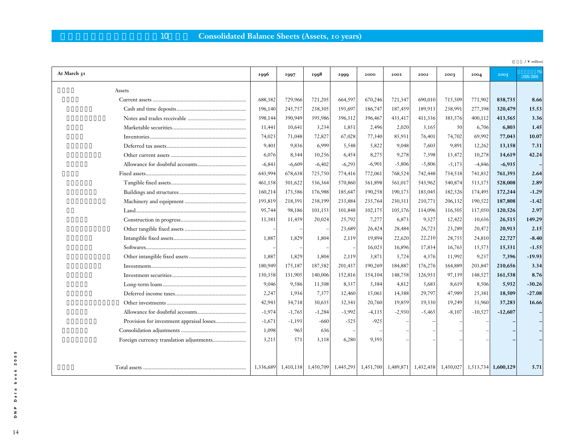# 10 **Consolidated Balance Sheets (Assets, 10 years)**

|             |           |           |          |                     |          |          |                                               |          |           |                     | $\sqrt{\ }$ million) |
|-------------|-----------|-----------|----------|---------------------|----------|----------|-----------------------------------------------|----------|-----------|---------------------|----------------------|
| At March 31 | 1996      | 1997      | 1998     | 1999                | 2000     | 200I     | 2002                                          | 2003     | 2004      | 2005                | (2005/2004)          |
| Assets      |           |           |          |                     |          |          |                                               |          |           |                     |                      |
|             | 688,382   | 729,966   | 721,205  | 664,597             | 670,246  | 721,347  | 690,010                                       | 715,509  | 771,902   | 838,735             | 8.66                 |
|             | 196,140   | 245,757   | 238,305  | 193,697             | 186,747  | 187,459  | 189,913                                       | 238,991  | 277,398   | 320,479             | 15.53                |
|             | 398,144   | 390,949   | 395,986  | 396,312             | 396,467  | 433,417  | 411,336                                       | 383,576  | 400,112   | 413,565             | 3.36                 |
|             | 11,441    | 10,641    | 3,234    | 1,851               | 2,496    | 2,020    | 3,165                                         | 50       | 6,706     | 6,803               | 1.45                 |
|             | 74,023    | 71,048    | 72,827   | 67,028              | 77,340   | 85,931   | 76,401                                        | 74,702   | 69,992    | 77,043              | 10.07                |
|             | 9,401     | 9,836     | 6,999    | 5,548               | 5,822    | 9,048    | 7,603                                         | 9,891    | 12,262    | 13,158              | 7.31                 |
|             | 6,076     | 8,344     | 10,256   | 6,454               | 8,275    | 9,278    | 7,398                                         | 13,472   | 10,278    | 14,619              | 42.24                |
|             | $-6,843$  | $-6,609$  | $-6,402$ | $-6,293$            | $-6,901$ | $-5,806$ | $-5,806$                                      | $-5,173$ | $-4,846$  | $-6,935$            |                      |
|             | 643,994   | 678,638   | 725,750  | 774,416             | 772,061  | 768,524  | 742,448                                       | 734,518  | 741,832   | 761,393             | 2.64                 |
|             | 461,158   | 501,622   | 536,364  | 570,860             | 561,898  | 561,017  | 543,962                                       | 540,874  | 513,175   | 528,008             | 2.89                 |
|             | 160,214   | 173,586   | 176,988  | 185,647             | 190,258  | 190,173  | 183,045                                       | 182,526  | 174,495   | 172,244             | $-1.29$              |
|             | 193,819   | 218,391   | 238,199  | 233,884             | 235,764  | 230,311  | 210,771                                       | 206,132  | 190,522   | 187,808             | $-1.42$              |
|             | 95,744    | 98,186    | 101,153  | 101,848             | 102,175  | 105,176  | 114,096                                       | 116,505  | 117,050   | 120,526             | 2.97                 |
|             | 11,381    | 11,459    | 20,024   | 25,792              | 7,277    | 6,873    | 9,327                                         | 12,422   | 10,636    | 26,515              | 149.29               |
|             |           |           |          | 23,689              | 26,424   | 28,484   | 26,723                                        | 23,289   | 20,472    | 20,913              | 2.15                 |
|             | 1,887     | 1,829     | 1,804    | 2,119               | 19,894   | 22,620   | 22,210                                        | 28,755   | 24,810    | 22,727              | $-8.40$              |
|             |           |           |          |                     | 16,023   | 16,896   | 17,834                                        | 16,763   | 15,573    | 15,331              | $-1.55$              |
|             | 1,887     | 1,829     | 1,804    | 2,119               | 3,871    | 5,724    | 4,376                                         | 11,992   | 9,237     | 7,396               | $-19.93$             |
|             | 180,949   | 175,187   | 187,582  | 201,437             | 190,269  | 184,887  | 176,276                                       | 164,889  | 203,847   | 210,656             | 3.34                 |
|             | 130,358   | 131,905   | 140,006  | 152,816             | 154,104  | 148,758  | 126,931                                       | 97,139   | 148,527   | 161,538             | 8.76                 |
|             | 9,046     | 9,586     | 11,508   | 8,337               | 5,384    | 4,812    | 5,683                                         | 8,619    | 8,506     | 5,932               | $-30.26$             |
|             | 2,247     | 1,936     | 7,377    | 12,460              | 15,061   | 14,388   | 29,797                                        | 47,989   | 25,381    | 18,509              | $-27.08$             |
|             | 42,943    | 34,718    | 30,635   | 32,341              | 20,760   | 19,859   | 19,330                                        | 19,249   | 31,960    | 37,283              | 16.66                |
|             | $-1,974$  | $-1,765$  | $-1,284$ | $-3,992$            | $-4,115$ | $-2,930$ | $-5,465$                                      | $-8,107$ | $-10,527$ | $-12,607$           |                      |
|             | $-1,671$  | $-1,193$  | $-660$   | $-525$              | $-925$   |          |                                               |          |           |                     |                      |
|             | 1,098     | 963       | 636      |                     |          |          |                                               |          |           |                     |                      |
|             | 3,215     | 571       | 3,118    | 6,280               | 9,393    |          |                                               |          |           |                     |                      |
|             |           |           |          |                     |          |          |                                               |          |           |                     |                      |
|             |           |           |          |                     |          |          |                                               |          |           |                     |                      |
|             | 1,336,689 | 1,410,138 |          | 1,450,709 1,445,293 |          |          | 1,451,700   1,489,871   1,432,458   1,450,027 |          |           | 1,513,734 1,600,129 | 5.71                 |

2005 14**DNP Data book 2005 Noop** Data  $\begin{array}{c} \mathsf{p} \\ \mathsf{p} \end{array}$ 

14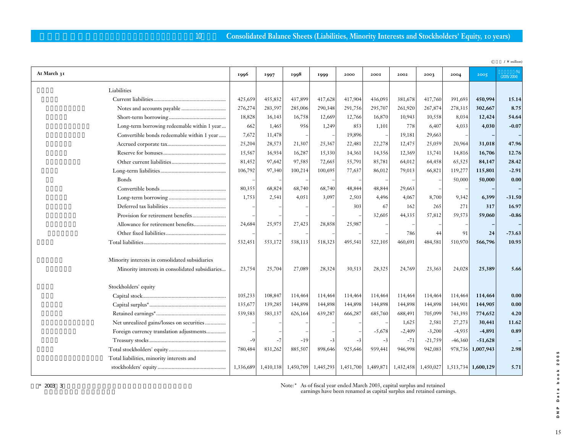### 10 **Consolidated Balance Sheets (Liabilities, Minority Interests and Stockholders' Equity, 10 years)**

|                                                 |           |           |         |                     |         |          |                               |           |           |                     | $\sqrt{\ }$ million) |
|-------------------------------------------------|-----------|-----------|---------|---------------------|---------|----------|-------------------------------|-----------|-----------|---------------------|----------------------|
| At March 31                                     | 1996      | 1997      | 1998    | 1999                | 2000    | 2001     | 2002                          | 2003      | 2004      | 2005                | (2005/2004)          |
| Liabilities                                     |           |           |         |                     |         |          |                               |           |           |                     |                      |
|                                                 | 425,659   | 455,832   | 437,899 | 417,628             | 417,904 | 436,093  | 381,678                       | 417,760   | 391,693   | 450,994             | 15.14                |
|                                                 | 276,274   | 283,597   | 285,006 | 290,348             | 291,756 | 295,707  | 261,920                       | 267,874   | 278,315   | 302,667             | 8.75                 |
|                                                 | 18,828    | 16,143    | 16,758  | 12,669              | 12,766  | 16,870   | 10,943                        | 10,558    | 8,034     | 12,424              | 54.64                |
| Long-term borrowing redeemable within 1 year    | 662       | 1,465     | 956     | 1,249               | 853     | 1,101    | 778                           | 6,407     | 4,033     | 4,030               | $-0.07$              |
| Convertible bonds redeemable within 1 year      | 7,672     | 11,478    |         |                     | 19,896  |          | 19,181                        | 29,663    |           |                     |                      |
|                                                 | 25,204    | 28,573    | 21,307  | 25,367              | 22,481  | 22,278   | 12,475                        | 25,059    | 20,964    | 31,018              | 47.96                |
|                                                 | 15,567    | 16,934    | 16,287  | 15,330              | 14,361  | 14,356   | 12,369                        | 13,741    | 14,816    | 16,706              | 12.76                |
|                                                 | 81,452    | 97,642    | 97,585  | 72,665              | 55,791  | 85,781   | 64,012                        | 64,458    | 65,525    | 84,147              | 28.42                |
|                                                 | 106,792   | 97,340    | 100,214 | 100,695             | 77,637  | 86,012   | 79,013                        | 66,821    | 119,277   | 115,801             | $-2.91$              |
| Bonds                                           |           |           |         |                     |         |          |                               |           | 50,000    | 50,000              | 0.00                 |
|                                                 | 80,355    | 68,824    | 68,740  | 68,740              | 48,844  | 48,844   | 29,663                        |           |           |                     |                      |
|                                                 | 1,753     | 2,541     | 4,051   | 3.097               | 2,503   | 4,496    | 4,067                         | 8,700     | 9,342     | 6,399               | $-31.50$             |
|                                                 |           |           |         |                     | 303     | 67       | 162                           | 265       | 271       | 317                 | 16.97                |
|                                                 |           |           |         |                     |         | 32,605   | 44,335                        | 57,812    | 59,573    | 59,060              | $-0.86$              |
| Allowance for retirement benefits               | 24,684    | 25,975    | 27,423  | 28,858              | 25,987  |          |                               |           |           |                     |                      |
|                                                 |           |           |         |                     |         |          | 786                           | 44        | 91        | 24                  | $-73.63$             |
|                                                 | 532,451   | 553,172   | 538,113 | 518,323             | 495,541 | 522,105  | 460,691                       | 484,581   | 510,970   | 566,796             | 10.93                |
| Minority interests in consolidated subsidiaries |           |           |         |                     |         |          |                               |           |           |                     |                      |
| Minority interests in consolidated subsidiaries | 23,754    | 25,704    | 27,089  | 28,324              | 30,513  | 28,325   | 24,769                        | 23,363    | 24,028    | 25,389              | 5.66                 |
| Stockholders' equity                            |           |           |         |                     |         |          |                               |           |           |                     |                      |
|                                                 | 105,233   | 108,847   | 114,464 | 114,464             | 114,464 | 114,464  | 114,464                       | 114,464   | 114,464   | 114,464             | 0.00                 |
|                                                 | 135,677   | 139,285   | 144,898 | 144,898             | 144,898 | 144,898  | 144,898                       | 144,898   | 144,901   | 144,905             | 0.00                 |
|                                                 | 539,583   | 583,137   | 626,164 | 639,287             | 666,287 | 685,760  | 688,491                       | 705,099   | 743,393   | 774,652             | 4.20                 |
| Net unrealized gains/losses on securities       |           |           |         |                     |         |          | 1,625                         | 2,581     | 27,273    | 30,441              | 11.62                |
| Foreign currency translation adjustments        |           |           |         |                     |         | $-5,678$ | $-2,409$                      | $-3,200$  | $-4,935$  | $-4,891$            | 0.89                 |
|                                                 | $-9$      | $-7$      | $-19$   | $-3$                | $-3$    | $-3$     | $-71$                         | $-21,759$ | $-46,360$ | $-51,628$           |                      |
|                                                 | 780,484   | 831,262   | 885,507 | 898,646             | 925,646 | 939,441  | 946,998                       | 942,083   | 978,736   | 1,007,943           | 2.98                 |
| Total liabilities, minority interests and       |           |           |         |                     |         |          |                               |           |           |                     |                      |
|                                                 | 1,336,689 | 1,410,138 |         | 1,450,709 1,445,293 |         |          | 1,451,700 1,489,871 1,432,458 | 1,450,027 |           | 1,513,734 1,600,129 | 5.71                 |

Note:\* As of fiscal year ended March 2003, capital surplus and retained

earnings have been renamed as capital surplus and retained earnings.

15**DNP Data book 2005** 15

DNP Data book 2005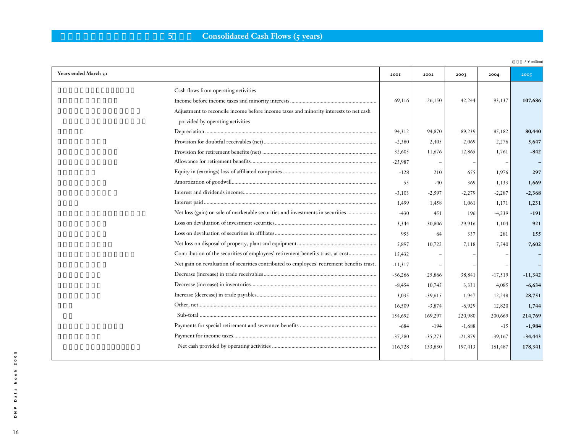# **5 Consolidated Cash Flows (5 years)**

|                                                                                            |           |           |           |           | $\sqrt{\ }$ million) |
|--------------------------------------------------------------------------------------------|-----------|-----------|-----------|-----------|----------------------|
| Years ended March 31                                                                       | 200I      | 2002      | 2003      | 2004      | 2005                 |
| Cash flows from operating activities                                                       |           |           |           |           |                      |
|                                                                                            | 69,116    | 26,150    | 42,244    | 93,137    | 107,686              |
| Adjustment to reconcile income before income taxes and minority interests to net cash      |           |           |           |           |                      |
| porvided by operating activities                                                           |           |           |           |           |                      |
|                                                                                            | 94,312    | 94,870    | 89,239    | 85,182    | 80,440               |
|                                                                                            | $-2,380$  | 2,405     | 2,069     | 2,276     | 5,647                |
|                                                                                            | 32,605    | 11,676    | 12,865    | 1,761     | $-842$               |
|                                                                                            | $-25,987$ |           |           |           |                      |
|                                                                                            | $-128$    | 210       | 655       | 1,976     | 297                  |
|                                                                                            | 55        | $-40$     | 369       | 1,133     | 1,669                |
|                                                                                            | $-3,103$  | $-2,597$  | $-2,279$  | $-2,287$  | $-2,368$             |
|                                                                                            | 1,499     | 1,458     | 1,061     | 1,171     | 1,231                |
| Net loss (gain) on sale of marketable securities and investments in securities             | $-430$    | 451       | 196       | $-4,239$  | $-191$               |
|                                                                                            | 3,344     | 30,806    | 29,916    | 1,104     | 921                  |
|                                                                                            | 953       | 64        | 337       | 281       | 155                  |
|                                                                                            | 5,897     | 10,722    | 7,118     | 7,540     | 7,602                |
| Contribution of the securities of employees' retirement benefits trust, at cost            | 15,432    |           |           |           |                      |
| Net gain on revaluation of securities contributed to employees' retirement benefits trust. | $-11,317$ |           |           |           |                      |
|                                                                                            | $-36,266$ | 25,866    | 38,841    | $-17,519$ | $-11,342$            |
|                                                                                            | $-8,454$  | 10,745    | 3,331     | 4,085     | $-6,634$             |
|                                                                                            | 3,035     | $-39,615$ | 1,947     | 12,248    | 28,751               |
|                                                                                            | 16,509    | $-3,874$  | $-6,929$  | 12,820    | 1,744                |
|                                                                                            | 154,692   | 169,297   | 220,980   | 200,669   | 214,769              |
|                                                                                            | $-684$    | $-194$    | $-1,688$  | $-15$     | $-1,984$             |
|                                                                                            | $-37,280$ | $-35,273$ | $-21,879$ | $-39,167$ | $-34,443$            |
|                                                                                            | 116,728   | 133,830   | 197,413   | 161,487   | 178,341              |
|                                                                                            |           |           |           |           |                      |

book 2005 16**DNP Data book 2005** Data  $\begin{array}{c} \mathsf{p} \\ \mathsf{p} \end{array}$ 

16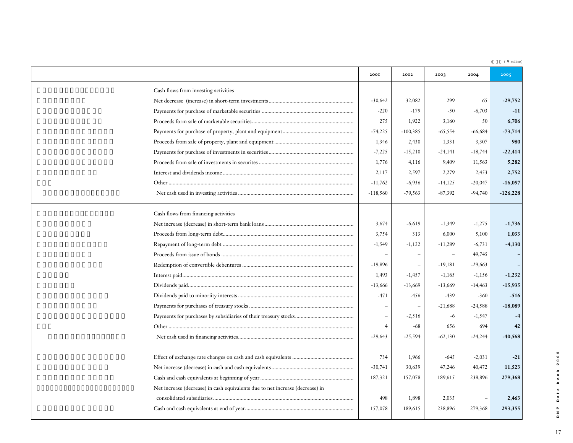(  $\quad$  /  $\backslash$  million)

|                                                                               | 200I           | 2002       | 2003      | 2004      | 2005       |
|-------------------------------------------------------------------------------|----------------|------------|-----------|-----------|------------|
| Cash flows from investing activities                                          |                |            |           |           |            |
|                                                                               | $-30,642$      | 32,082     | 299       | 65        | $-29,752$  |
|                                                                               | $-220$         | $-179$     | $-50$     | $-6,703$  | $-11$      |
|                                                                               | 275            | 1,922      | 3,160     | 50        | 6,706      |
|                                                                               | $-74,225$      | $-100,385$ | $-65,554$ | $-66,684$ | $-73,714$  |
|                                                                               | 1,346          | 2,430      | 1,331     | 3,307     | 980        |
|                                                                               | $-7,225$       | $-15,210$  | $-24,141$ | $-18,744$ | $-22,414$  |
|                                                                               | 1,776          | 4,116      | 9,409     | 11,563    | 5,282      |
|                                                                               | 2,117          | 2,597      | 2,279     | 2,453     | 2,752      |
|                                                                               | $-11,762$      | $-6,936$   | $-14,125$ | $-20,047$ | $-16,057$  |
|                                                                               | $-118,560$     | $-79,563$  | $-87,392$ | $-94,740$ | $-126,228$ |
| Cash flows from financing activities                                          |                |            |           |           |            |
|                                                                               | 3,674          | $-6,619$   | $-1,349$  | $-1,275$  | $-1,736$   |
|                                                                               | 3,754          | 313        | 6,000     | 5,100     | 1,033      |
|                                                                               | $-1,549$       | $-1,122$   | $-11,289$ | $-6,731$  | $-4,130$   |
|                                                                               |                |            |           | 49,745    |            |
|                                                                               | $-19,896$      |            | $-19,181$ | $-29,663$ |            |
|                                                                               | 1,493          | $-1,457$   | $-1,165$  | $-1,156$  | $-1,232$   |
|                                                                               | $-13,666$      | $-13,669$  | $-13,669$ | $-14,463$ | $-15,935$  |
|                                                                               | $-471$         | $-456$     | $-439$    | $-360$    | $-516$     |
|                                                                               |                |            | $-21,688$ | $-24,588$ | $-18,089$  |
|                                                                               |                | $-2,516$   | -6        | $-1,547$  |            |
|                                                                               | $\overline{4}$ | $-68$      | 656       | 694       | 42         |
|                                                                               | $-29,643$      | $-25,594$  | $-62,130$ | $-24,244$ | $-40,568$  |
|                                                                               | 734            | 1,966      | $-645$    | $-2,031$  | $-21$      |
|                                                                               | $-30,741$      | 30,639     | 47,246    | 40,472    | 11,523     |
|                                                                               | 187,321        | 157,078    | 189,615   | 238,896   | 279,368    |
| Net increase (decrease) in cash equivalents due to net increase (decrease) in |                |            |           |           |            |
|                                                                               | 498            | 1,898      | 2,035     |           | 2,463      |
|                                                                               | 157,078        | 189,615    | 238,896   | 279,368   | 293,355    |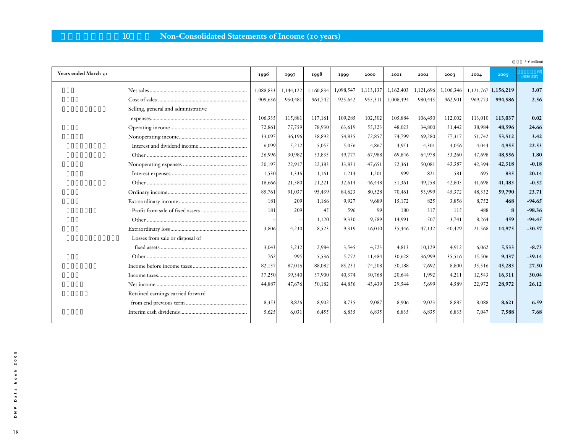# 10 **Non-Consolidated Statements of Income (10 years)**

| Years ended March 31                | 1996      | 1997      | 1998      | 1999      | 2000      | 200I              | 2002      | 2003      | 2004    | 2005                | (2005/2004) |
|-------------------------------------|-----------|-----------|-----------|-----------|-----------|-------------------|-----------|-----------|---------|---------------------|-------------|
|                                     | 1,088,833 | 1,144,122 | 1,160,834 | 1,098,547 | 1,113,137 | 1,162,403         | 1,121,696 | 1,106,346 |         | 1,121,767 1,156,219 | 3.07        |
|                                     | 909,636   | 950,481   | 964,742   | 925,642   |           | 955,311 1,008,494 | 980,445   | 962,901   | 969,773 | 994,586             | 2.56        |
| Selling, general and administrative |           |           |           |           |           |                   |           |           |         |                     |             |
|                                     | 106,335   | 115,881   | 117,161   | 109,285   | 102,502   | 105,884           | 106,450   | 112,002   | 113,010 | 113,037             | 0.02        |
|                                     | 72,861    | 77,759    | 78,930    | 63,619    | 55,323    | 48,023            | 34,800    | 31,442    | 38,984  | 48,596              | 24.66       |
|                                     | 33,097    | 36,196    | 38,892    | 54,835    | 72,857    | 74,799            | 69,280    | 57,317    | 51,742  | 53,512              | 3.42        |
|                                     | 6,099     | 5,212     | 5,055     | 5,056     | 4,867     | 4,951             | 4,301     | 4,056     | 4,044   | 4,955               | 22.53       |
|                                     | 26,996    | 30,982    | 33,835    | 49,777    | 67,988    | 69,846            | 64,978    | 53,260    | 47,698  | 48,556              | 1.80        |
|                                     | 20,197    | 22,917    | 22,383    | 33,831    | 47,651    | 52,361            | 50,081    | 43,387    | 42,394  | 42,318              | $-0.18$     |
|                                     | 1,530     | 1,336     | 1,161     | 1,214     | 1,201     | 999               | 821       | 581       | 695     | 835                 | 20.14       |
|                                     | 18,666    | 21,580    | 21,221    | 32,614    | 46,448    | 51,361            | 49,258    | 42,805    | 41,698  | 41,483              | $-0.52$     |
|                                     | 85,761    | 91,037    | 95,439    | 84,623    | 80,528    | 70,461            | 53,999    | 45,372    | 48,332  | 59,790              | 23.71       |
|                                     | 181       | 209       | 1,166     | 9,927     | 9,689     | 15,172            | 825       | 3,856     | 8,752   | 468                 | $-94.65$    |
|                                     | 181       | 209       | 45        | 596       | -99       | 180               | 317       | 115       | 488     | 8                   | $-98.36$    |
|                                     |           |           | 1,120     | 9,330     | 9.589     | 14,991            | 507       | 3,741     | 8,264   | 459                 | $-94.45$    |
|                                     | 3,806     | 4,230     | 8,523     | 9,319     | 16,010    | 35,446            | 47,132    | 40,429    | 21,568  | 14,975              | $-30.57$    |
| Losses from sale or disposal of     |           |           |           |           |           |                   |           |           |         |                     |             |
|                                     | 3,043     | 3,232     | 2,984     | 3,545     | 4,523     | 4,813             | 10,129    | 4,912     | 6,062   | 5,533               | $-8.73$     |
|                                     | 762       | 995       | 5,536     | 5,772     | 11,484    | 30,628            | 36,999    | 35,516    | 15,506  | 9,437               | $-39.14$    |
|                                     | 82,137    | 87,016    | 88,082    | 85,231    | 74,208    | 50,188            | 7,692     | 8,800     | 35,516  | 45,283              | 27.50       |
|                                     | 37,250    | 39,340    | 37,900    | 40,374    | 30,768    | 20,644            | 1,992     | 4,211     | 12,543  | 16,311              | 30.04       |
|                                     | 44,887    | 47,676    | 50,182    | 44,856    | 43,439    | 29,544            | 5,699     | 4,589     | 22,972  | 28,972              | 26.12       |
| Retained earnings carried forward   |           |           |           |           |           |                   |           |           |         |                     |             |
|                                     | 8,353     | 8,826     | 8,902     | 8,735     | 9,087     | 8,906             | 9,023     | 8,885     | 8,088   | 8,621               | 6.59        |
|                                     | 5,625     | 6,031     | 6,455     | 6,835     | 6,835     | 6,835             | 6,835     | 6,833     | 7,047   | 7,588               | 7.68        |
|                                     |           |           |           |           |           |                   |           |           |         |                     |             |

(  $\angle$  /  $\angle$  million)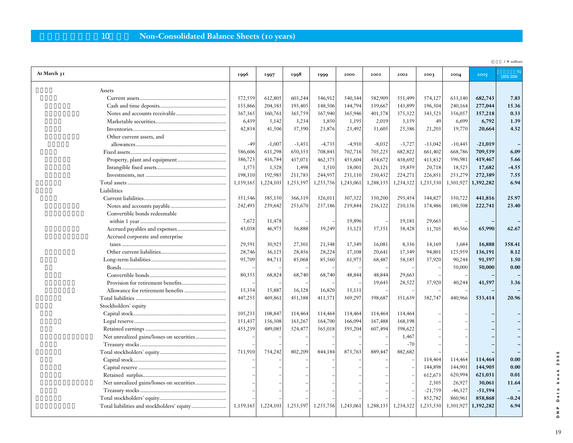# 10 **Non-Consolidated Balance Sheets (10 years)**

|                                  |           |           |                         |           |           |           |           |           |           |           | $\lor$ million |
|----------------------------------|-----------|-----------|-------------------------|-----------|-----------|-----------|-----------|-----------|-----------|-----------|----------------|
| At March 31                      | 1996      | 1997      | 1998                    | 1999      | 2000      | 200I      | 2002      | 2003      | 2004      | 2005      | (2005/2004)    |
| Assets                           |           |           |                         |           |           |           |           |           |           |           |                |
|                                  | 572,559   | 612,805   | 603,244                 | 546,912   | 540,344   | 582,909   | 551,499   | 574,127   | 633,140   | 682,743   | 7.83           |
|                                  | 155,866   | 204,383   | 193,405                 | 148,506   | 144,794   | 139,667   | 143,899   | 196,304   | 240,164   | 277,044   | 15.36          |
|                                  | 367,365   | 360,761   | 365,759                 | 367,940   | 365,946   | 401,578   | 375,322   | 343,523   | 356,057   | 357,218   | 0.33           |
|                                  | 6,439     | 5,142     | 3,234                   | 1,850     | 1,195     | 2,019     | 3,159     | 49        | 6,699     | 6,792     | 1.39           |
|                                  | 42,834    | 41,506    | 37,390                  | 23,876    | 23,492    | 31,605    | 25,386    | 21,203    | 19,770    | 20,664    | 4.52           |
| Other current assets, and        |           |           |                         |           |           |           |           |           |           |           |                |
|                                  | $-49$     | $-1,007$  | $-3,451$                | $-4,735$  | $-4,910$  | $-8,032$  | $-3,727$  | $-13,042$ | $-10,445$ | $-21,019$ |                |
|                                  | 586,606   | 611,298   | 650,353                 | 708,843   | 702,716   | 705,225   | 682,822   | 661,402   | 668,786   | 709,539   | 6.09           |
|                                  | 386,723   | 416,784   | 437,071                 | 462,375   | 453,604   | 454,672   | 438,692   | 413,832   | 396,981   | 419,467   | 5.66           |
|                                  | 1,573     | 1,528     | 1,498                   | 1,510     | 18,001    | 20,121    | 19,859    | 20,718    | 18,525    | 17,682    | $-4.55$        |
|                                  | 198,310   | 192,985   | 211,783                 | 244,957   | 231,110   | 230,432   | 224,271   | 226,851   | 253,279   | 272,389   | 7.55           |
|                                  | 1,159,165 | 1,224,103 | 1,253,597               | 1,255,756 | 1,243,061 | 1,288,135 | 1,234,322 | 1,235,530 | 1,301,927 | 1,392,282 | 6.94           |
| Liabilities                      |           |           |                         |           |           |           |           |           |           |           |                |
|                                  | 351,546   | 385,150   | 366,319                 | 326,011   | 307,322   | 330,200   | 293,454   | 344,827   | 350,722   | 441,816   | 25.97          |
|                                  | 242,493   | 259,642   | 253,670                 | 237,186   | 219,844   | 236,122   | 210,156   | 174,486   | 180,508   | 222,741   | 23.40          |
| Convertible bonds redeemable     |           |           |                         |           |           |           |           |           |           |           |                |
|                                  | 7,672     | 11,478    |                         |           | 19,896    |           | 19,181    | 29,663    |           |           |                |
|                                  | 43,038    | 46,975    | 56,888                  | 39,249    | 33,121    | 57,351    | 38,428    | 31,705    | 40,566    | 65,990    | 62.67          |
| Accrued corporate and enterprise |           |           |                         |           |           |           |           |           |           |           |                |
|                                  | 29,591    | 30,925    | 27,301                  | 21,348    | 17,349    | 16,081    | 8,336     | 14,169    | 3,684     | 16,888    | 358.41         |
|                                  | 28,746    | 36,125    | 28,456                  | 28,224    | 17,108    | 20,641    | 17,349    | 94,801    | 125,959   | 136,191   | 8.12           |
|                                  | 95,709    | 84,711    | 85,068                  | 85,560    | 61,975    | 68,487    | 58,185    | 37,920    | 90,244    | 91,597    | 1.50           |
|                                  |           |           |                         |           |           |           |           |           | 50,000    | 50,000    | 0.00           |
|                                  | 80,355    | 68,824    | 68,740                  | 68,740    | 48,844    | 48,844    | 29,663    |           |           |           |                |
|                                  |           |           |                         |           |           | 19,643    | 28,522    | 37,920    | 40,244    | 41,597    | 3.36           |
|                                  | 15,354    | 15,887    | 16,328                  | 16,820    | 13,131    |           |           |           |           |           |                |
|                                  | 447,255   | 469,861   | 451,388                 | 411,571   | 369,297   | 398,687   | 351,639   | 382,747   | 440,966   | 533,414   | 20.96          |
| Stockholders' equity             |           |           |                         |           |           |           |           |           |           |           |                |
|                                  | 105,233   | 108,847   | 114,464                 | 114,464   | 114,464   | 114,464   | 114,464   |           |           |           |                |
|                                  | 151,437   | 156,308   | 163,267                 | 164,700   | 166,094   | 167,488   | 168,198   |           |           |           |                |
|                                  | 455,239   | 489,085   | 524,477                 | 565,018   | 593,204   | 607,494   | 598,622   |           |           |           |                |
|                                  |           |           |                         |           |           |           | 1,467     |           |           |           |                |
|                                  |           |           |                         |           |           |           | $-70$     |           |           |           |                |
|                                  | 711,910   | 754,242   | 802,209                 | 844,184   | 873,763   | 889,447   | 882,682   |           |           |           |                |
|                                  |           |           |                         |           |           |           |           | 114,464   | 114,464   | 114,464   | 0.00           |
|                                  |           |           |                         |           |           |           |           | 144,898   | 144,901   | 144,905   | 0.00           |
|                                  |           |           |                         |           |           |           |           | 612,673   | 620,994   | 621,031   | 0.01           |
|                                  |           |           |                         |           |           |           |           | 2,505     | 26,927    | 30,061    | 11.64          |
|                                  |           |           |                         |           |           |           |           | $-21,759$ | $-46,327$ | $-51,594$ |                |
|                                  |           |           |                         |           |           |           |           | 852,782   | 860,961   | 858,868   | $-0.24$        |
|                                  | 1,159,165 |           | $1,224,103$   1,253,597 | 1,255,756 | 1,243,061 | 1,288,135 | 1,234,322 | 1,235,530 | 1,301,927 | 1,392,282 | 6.94           |
|                                  |           |           |                         |           |           |           |           |           |           |           |                |

DNP Data book 2005 19**DNP Data book 2005**

 $19\,$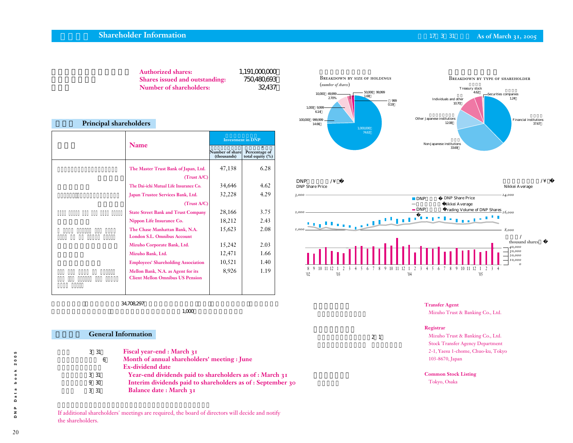### **Shareholder Information Contract Contract Contract Contract Contract Contract Contract Contract Contract Contract Contract Contract Contract Contract Contract Contract Contract Contract Contract Contract Contract Contra**

| <b>Authorized shares:</b>             | 1.191,000000 |               |
|---------------------------------------|--------------|---------------|
| <b>Shares issued and outstanding:</b> | 750480693    | Bб<br>$(n_1)$ |
| Number of shareholders:               | 32437        |               |

#### **Principal shareholders**

|                                                                               | <b>Investment in DNP</b>       |                                      |  |  |
|-------------------------------------------------------------------------------|--------------------------------|--------------------------------------|--|--|
| <b>Name</b>                                                                   | Number of share<br>(thousands) | Percentage of<br>total equity $(\%)$ |  |  |
| The Master Trust Bank of Japan, Ltd.                                          | 47,138                         | 6.28                                 |  |  |
| (Trust A/C)                                                                   |                                |                                      |  |  |
| The Dai-ichi Mutual Life Insurance Co.                                        | 34,646                         | 4.62                                 |  |  |
| Japan Trustee Services Bank, Ltd.                                             | 32,228                         | 4.29                                 |  |  |
| (Trust A/C)                                                                   |                                |                                      |  |  |
| <b>State Street Bank and Trust Company</b>                                    | 28,166                         | 3.75                                 |  |  |
| Nippon Life Insurance Co.                                                     | 18,212                         | 2.43                                 |  |  |
| The Chase Manhattan Bank, N.A.<br><b>London S.L. Omnibus Account</b>          | 15,623                         | 2.08                                 |  |  |
| Mizuho Corporate Bank, Ltd.                                                   | 15,242                         | 2.03                                 |  |  |
| Mizuho Bank, Ltd.                                                             | 12,471                         | 1.66                                 |  |  |
| <b>Employees' Shareholding Association</b>                                    | 10,521                         | 1.40                                 |  |  |
| Mellon Bank, N.A. as Agent for its<br><b>Client Mellon Omnibus US Pension</b> | 8,926                          | 1.19                                 |  |  |
|                                                                               |                                |                                      |  |  |

 $34,708,297$ 

 $1,000$ 

**General Information** 

BREAKDOWN BY TYPE OF SHAREHOLDER 金融関 Financial institutions 37.67 外国人 Non-Japanese institutions 33.69% .<br>Other Japanese institutions 12.08% 個人 Individuals and other 10.70% 証券会社 Securities companies 1.24% Treasury stock 462 Breakdown by size of holdings (*number of shares*)  $\frac{1,000000}{7463}$ 100,000~999,999 1466 1,000~9,999 6.14% 10,000 49,999<br>2.70%  $270%$   $\frac{1}{20}$   $\frac{1}{20}$   $\frac{1}{20}$   $\frac{1}{20}$ 0.19  $-50000~99999$  $168$ 



**Transfer Agent** Mizuho Trust & Banking Co., Ltd.

2 1

Mizuho Trust & Banking Co., Ltd. Stock Transfer Agency Department 2-1, Yaesu 1-chome, Chuo-ku, Tokyo 103-8670, Japan

**Common Stock Listing**

Tokyo, Osaka

**Registrar**

31  $6$ 利益配当金:3月31日 中間配当金:9月30日 31 31 **Fiscal year-end : March 31 Month of annual shareholders' meeting : June Ex-dividend date Year-end dividends paid to shareholders as of : March 31 Interim dividends paid to shareholders as of : September 30 Balance date : March 31**

If additional shareholders' meetings are required, the board of directors will decide and notify the shareholders.

ဖာ 2005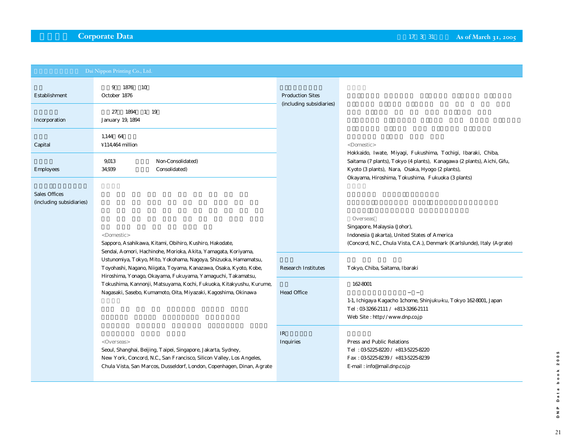|                                                  | Dai Nippon Printing Co., Ltd.                                                                                                                                                                                                  |                            |                                                                                                                                                                                                                                                  |
|--------------------------------------------------|--------------------------------------------------------------------------------------------------------------------------------------------------------------------------------------------------------------------------------|----------------------------|--------------------------------------------------------------------------------------------------------------------------------------------------------------------------------------------------------------------------------------------------|
| Establishment                                    | 1876<br>9<br>-10<br>October 1876                                                                                                                                                                                               | <b>Production Sites</b>    |                                                                                                                                                                                                                                                  |
| Incorporation                                    | 1894<br>1 19<br>27<br>January 19, 1894                                                                                                                                                                                         | (including subsidiaries)   |                                                                                                                                                                                                                                                  |
| Capital                                          | 1,144 64<br>¥114,464 million                                                                                                                                                                                                   |                            | <domestic></domestic>                                                                                                                                                                                                                            |
| <b>Employees</b>                                 | 9013<br>Non-Consolidated)<br>34939<br>Consolidated)                                                                                                                                                                            |                            | Hokkaido, Iwate, Miyagi, Fukushima, Tochigi, Ibaraki, Chiba,<br>Saitama (7 plants), Tokyo (4 plants), Kanagawa (2 plants), Aichi, Gifu,<br>Kyoto (3 plants), Nara, Osaka, Hyogo (2 plants),<br>Okayama, Hiroshima, Tokushima, Fukuoka (3 plants) |
| <b>Sales Offices</b><br>(including subsidiaries) |                                                                                                                                                                                                                                |                            |                                                                                                                                                                                                                                                  |
|                                                  | <domestic><br/>Sapporo, Asahikawa, Kitami, Obihiro, Kushiro, Hakodate,</domestic>                                                                                                                                              |                            | Overseas<br>Singapore, Malaysia (Johor),<br>Indonesia (Jakarta), United States of America<br>(Concord, N.C., Chula Vista, C.A.), Denmark (Karlslunde), Italy (Agrate)                                                                            |
|                                                  | Sendai, Aomori, Hachinohe, Morioka, Akita, Yamagata, Koriyama,<br>Ustunomiya, Tokyo, Mito, Yokohama, Nagoya, Shizuoka, Hamamatsu,<br>Toyohashi, Nagano, Niigata, Toyama, Kanazawa, Osaka, Kyoto, Kobe,                         | <b>Research Institutes</b> | Tokyo, Chiba, Saitama, Ibaraki                                                                                                                                                                                                                   |
|                                                  | Hiroshima, Yonago, Okayama, Fukuyama, Yamaguchi, Takamatsu,<br>Tokushima, Kannonji, Matsuyama, Kochi, Fukuoka, Kitakyushu, Kurume,<br>Nagasaki, Sasebo, Kumamoto, Oita, Miyazaki, Kagoshima, Okinawa                           |                            | 162-8001<br>1-1, Ichigaya Kagacho 1chome, Shinjuku-ku, Tokyo 162-8001, Japan<br>Tel: 0332662111 / +81332662111<br>Web Site: http://www.dnp.co.jp                                                                                                 |
|                                                  | < Overseas><br>Seoul, Shanghai, Beijing, Taipei, Singapore, Jakarta, Sydney,<br>New York, Concord, N.C., San Francisco, Silicon Valley, Los Angeles,<br>Chula Vista, San Marcos, Dusseldorf, London, Copenhagen, Dinan, Agrate | IR<br>Inquiries            | Press and Public Relations<br>Tel: 0352258220 / +81352258220<br>Fax: 0352258239 / +81352258239<br>E-mail: info@mail.dnp.co.jp                                                                                                                    |